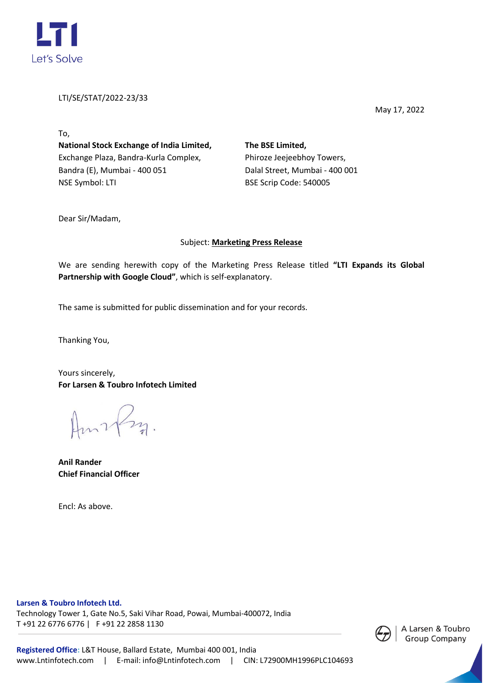

LTI/SE/STAT/2022-23/33

May 17, 2022

To, **National Stock Exchange of India Limited,** Exchange Plaza, Bandra-Kurla Complex, Bandra (E), Mumbai - 400 051 NSE Symbol: LTI

**The BSE Limited,** Phiroze Jeejeebhoy Towers, Dalal Street, Mumbai - 400 001 BSE Scrip Code: 540005

Dear Sir/Madam,

## Subject: **Marketing Press Release**

We are sending herewith copy of the Marketing Press Release titled **"LTI Expands its Global Partnership with Google Cloud"**, which is self-explanatory.

The same is submitted for public dissemination and for your records.

Thanking You,

Yours sincerely, **For Larsen & Toubro Infotech Limited**

**Anil Rander Chief Financial Officer**

Encl: As above.

**Larsen & Toubro Infotech Ltd.** 

Technology Tower 1, Gate No.5, Saki Vihar Road, Powai, Mumbai-400072, India T +91 22 6776 6776 | F +91 22 2858 1130

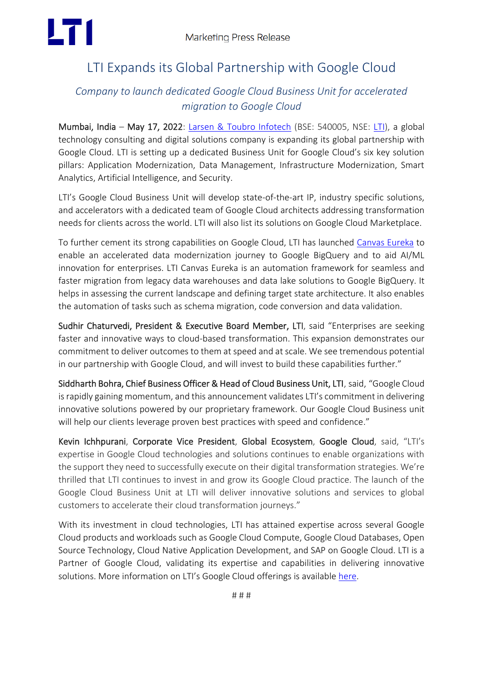

# LTI Expands its Global Partnership with Google Cloud

# *Company to launch dedicated Google Cloud Business Unit for accelerated migration to Google Cloud*

Mumbai, India – May 17, 2022: [Larsen & Toubro Infotech](https://www.lntinfotech.com/) (BSE: 540005, NSE: [LTI\)](https://www.lntinfotech.com/investors/), a global technology consulting and digital solutions company is expanding its global partnership with Google Cloud. LTI is setting up a dedicated Business Unit for Google Cloud's six key solution pillars: Application Modernization, Data Management, Infrastructure Modernization, Smart Analytics, Artificial Intelligence, and Security.

LTI's Google Cloud Business Unit will develop state-of-the-art IP, industry specific solutions, and accelerators with a dedicated team of Google Cloud architects addressing transformation needs for clients across the world. LTI will also list its solutions on Google Cloud Marketplace.

To further cement its strong capabilities on Google Cloud, LTI has launched [Canvas Eureka](https://canvas.lntinfotech.com/lti-canvas-eureka.html) to enable an accelerated data modernization journey to Google BigQuery and to aid AI/ML innovation for enterprises. LTI Canvas Eureka is an automation framework for seamless and faster migration from legacy data warehouses and data lake solutions to Google BigQuery. It helps in assessing the current landscape and defining target state architecture. It also enables the automation of tasks such as schema migration, code conversion and data validation.

Sudhir Chaturvedi, President & Executive Board Member, LTI, said "Enterprises are seeking faster and innovative ways to cloud-based transformation. This expansion demonstrates our commitment to deliver outcomes to them at speed and at scale. We see tremendous potential in our partnership with Google Cloud, and will invest to build these capabilities further."

Siddharth Bohra, Chief Business Officer & Head of Cloud Business Unit, LTI, said, "Google Cloud is rapidly gaining momentum, and this announcement validates LTI's commitment in delivering innovative solutions powered by our proprietary framework. Our Google Cloud Business unit will help our clients leverage proven best practices with speed and confidence."

Kevin Ichhpurani, Corporate Vice President, Global Ecosystem, Google Cloud, said, "LTI's expertise in Google Cloud technologies and solutions continues to enable organizations with the support they need to successfully execute on their digital transformation strategies. We're thrilled that LTI continues to invest in and grow its Google Cloud practice. The launch of the Google Cloud Business Unit at LTI will deliver innovative solutions and services to global customers to accelerate their cloud transformation journeys."

With its investment in cloud technologies, LTI has attained expertise across several Google Cloud products and workloads such as Google Cloud Compute, Google Cloud Databases, Open Source Technology, Cloud Native Application Development, and SAP on Google Cloud. LTI is a Partner of Google Cloud, validating its expertise and capabilities in delivering innovative solutions. More information on LTI's Google Cloud offerings is available [here.](https://www.lntinfotech.com/enterprise-solutions/gcp/)